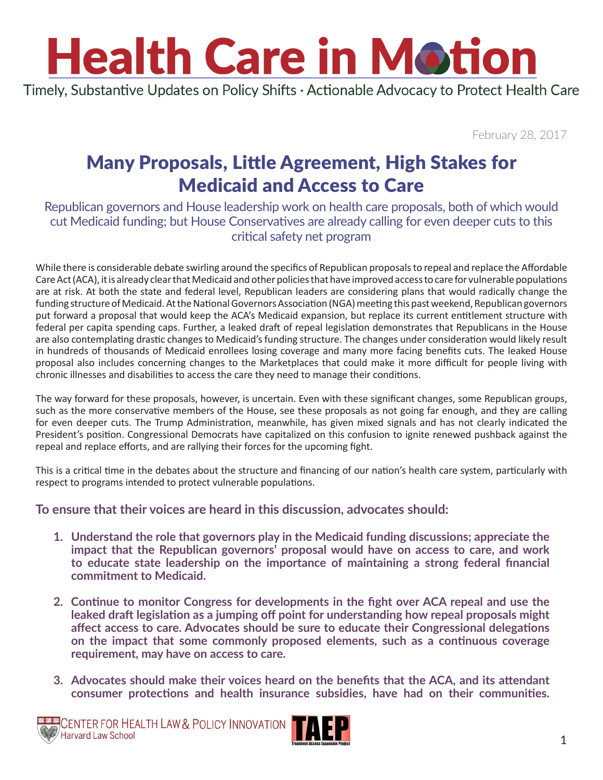Timely, Substantive Updates on Policy Shifts · Actionable Advocacy to Protect Health Care

February 28, 2017

### Many Proposals, Little Agreement, High Stakes for Medicaid and Access to Care

Republican governors and House leadership work on health care proposals, both of which would cut Medicaid funding; but House Conservatives are already calling for even deeper cuts to this critical safety net program

While there is considerable debate swirling around the specifics of Republican proposals to repeal and replace the Affordable Care Act (ACA), it is already clear that Medicaid and other policies that have improved access to care for vulnerable populations are at risk. At both the state and federal level, Republican leaders are considering plans that would radically change the funding structure of Medicaid. At the National Governors Association (NGA) meeting this past weekend, Republican governors put forward a proposal that would keep the ACA's Medicaid expansion, but replace its current entitlement structure with federal per capita spending caps. Further, a leaked draft of repeal legislation demonstrates that Republicans in the House are also contemplating drastic changes to Medicaid's funding structure. The changes under consideration would likely result in hundreds of thousands of Medicaid enrollees losing coverage and many more facing benefits cuts. The leaked House proposal also includes concerning changes to the Marketplaces that could make it more difficult for people living with chronic illnesses and disabilities to access the care they need to manage their conditions.

The way forward for these proposals, however, is uncertain. Even with these significant changes, some Republican groups, such as the more conservative members of the House, see these proposals as not going far enough, and they are calling for even deeper cuts. The Trump Administration, meanwhile, has given mixed signals and has not clearly indicated the President's position. Congressional Democrats have capitalized on this confusion to ignite renewed pushback against the repeal and replace efforts, and are rallying their forces for the upcoming fight.

This is a critical time in the debates about the structure and financing of our nation's health care system, particularly with respect to programs intended to protect vulnerable populations.

#### **To ensure that their voices are heard in this discussion, advocates should:**

- **1. Understand the role that governors play in the Medicaid funding discussions; appreciate the impact that the Republican governors' proposal would have on access to care, and work to educate state leadership on the importance of maintaining a strong federal financial commitment to Medicaid.**
- **2. Continue to monitor Congress for developments in the fight over ACA repeal and use the leaked draft legislation as a jumping off point for understanding how repeal proposals might affect access to care. Advocates should be sure to educate their Congressional delegations on the impact that some commonly proposed elements, such as a continuous coverage requirement, may have on access to care.**
- **3. Advocates should make their voices heard on the benefits that the ACA, and its attendant consumer protections and health insurance subsidies, have had on their communities.**



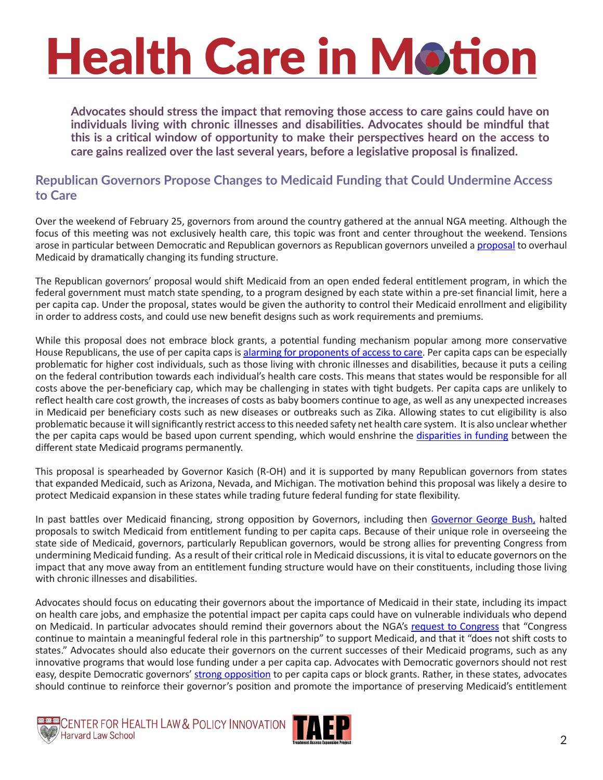**Advocates should stress the impact that removing those access to care gains could have on individuals living with chronic illnesses and disabilities. Advocates should be mindful that this is a critical window of opportunity to make their perspectives heard on the access to care gains realized over the last several years, before a legislative proposal is finalized.** 

#### **Republican Governors Propose Changes to Medicaid Funding that Could Undermine Access to Care**

Over the weekend of February 25, governors from around the country gathered at the annual NGA meeting. Although the focus of this meeting was not exclusively health care, this topic was front and center throughout the weekend. Tensions arose in particular between Democratic and Republican governors as Republican governors unveiled a [proposal](https://cdn2.vox-cdn.com/uploads/chorus_asset/file/8045721/Medicaid_Reform_Proposal_-_DRAFT_to_Govs_022417.0.pdf) to overhaul Medicaid by dramatically changing its funding structure.

The Republican governors' proposal would shift Medicaid from an open ended federal entitlement program, in which the federal government must match state spending, to a program designed by each state within a pre-set financial limit, here a per capita cap. Under the proposal, states would be given the authority to control their Medicaid enrollment and eligibility in order to address costs, and could use new benefit designs such as work requirements and premiums.

While this proposal does not embrace block grants, a potential funding mechanism popular among more conservative House Republicans, the use of per capita caps is [alarming for proponents of access to care](http://www.cbpp.org/research/health/medicaid-per-capita-cap-would-shift-costs-and-risks-to-states-and-harm-millions-of). Per capita caps can be especially problematic for higher cost individuals, such as those living with chronic illnesses and disabilities, because it puts a ceiling on the federal contribution towards each individual's health care costs. This means that states would be responsible for all costs above the per-beneficiary cap, which may be challenging in states with tight budgets. Per capita caps are unlikely to reflect health care cost growth, the increases of costs as baby boomers continue to age, as well as any unexpected increases in Medicaid per beneficiary costs such as new diseases or outbreaks such as Zika. Allowing states to cut eligibility is also problematic because it will significantly restrict access to this needed safety net health care system. It is also unclear whether the per capita caps would be based upon current spending, which would enshrine the [disparities in funding](http://kff.org/medicaid/state-indicator/medicaid-spending-per-enrollee/?currentTimeframe=0&sortModel=%7B%22colId%22:%22Total%22,%22sort%22:%22desc%22%7D) between the different state Medicaid programs permanently.

This proposal is spearheaded by Governor Kasich (R-OH) and it is supported by many Republican governors from states that expanded Medicaid, such as Arizona, Nevada, and Michigan. The motivation behind this proposal was likely a desire to protect Medicaid expansion in these states while trading future federal funding for state flexibility.

In past battles over Medicaid financing, strong opposition by Governors, including then [Governor George Bush,](https://www.c-span.org/video/?c4620471/governor-george-w-bush-opposes-medicaid-per-capita-caps&utm_content=buffer4f3cc&utm_medium=social&utm_source=twitter.com&utm_campaign=buffer) halted proposals to switch Medicaid from entitlement funding to per capita caps. Because of their unique role in overseeing the state side of Medicaid, governors, particularly Republican governors, would be strong allies for preventing Congress from undermining Medicaid funding. As a result of their critical role in Medicaid discussions, it is vital to educate governors on the impact that any move away from an entitlement funding structure would have on their constituents, including those living with chronic illnesses and disabilities.

Advocates should focus on educating their governors about the importance of Medicaid in their state, including its impact on health care jobs, and emphasize the potential impact per capita caps could have on vulnerable individuals who depend on Medicaid. In particular advocates should remind their governors about the NGA's [request to Congress](http://democraticleader.house.gov/wp-content/uploads/2017/01/National-Governors-Association-Letter.pdf) that "Congress continue to maintain a meaningful federal role in this partnership" to support Medicaid, and that it "does not shift costs to states." Advocates should also educate their governors on the current successes of their Medicaid programs, such as any innovative programs that would lose funding under a per capita cap. Advocates with Democratic governors should not rest easy, despite Democratic governors' [strong opposition](https://democraticgovernors.org/democratic-governors-to-congress-dont-shift-medicaid-costs-to-states/) to per capita caps or block grants. Rather, in these states, advocates should continue to reinforce their governor's position and promote the importance of preserving Medicaid's entitlement



CENTER FOR HEALTH LAW & POLICY INNOVATION

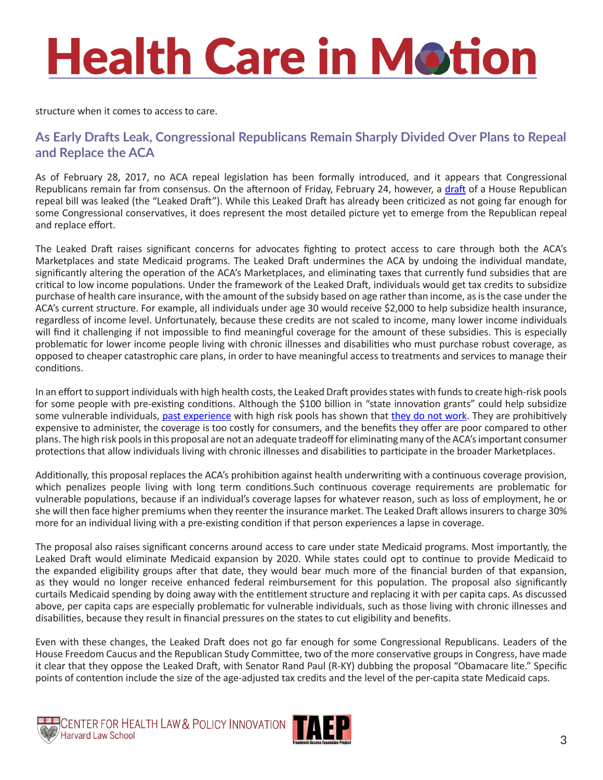structure when it comes to access to care.

#### **As Early Drafts Leak, Congressional Republicans Remain Sharply Divided Over Plans to Repeal and Replace the ACA**

As of February 28, 2017, no ACA repeal legislation has been formally introduced, and it appears that Congressional Republicans remain far from consensus. On the afternoon of Friday, February 24, however, a [draft](http://www.politico.com/f/?id=0000015a-70de-d2c6-a7db-78ff707e0000) of a House Republican repeal bill was leaked (the "Leaked Draft"). While this Leaked Draft has already been criticized as not going far enough for some Congressional conservatives, it does represent the most detailed picture yet to emerge from the Republican repeal and replace effort.

The Leaked Draft raises significant concerns for advocates fighting to protect access to care through both the ACA's Marketplaces and state Medicaid programs. The Leaked Draft undermines the ACA by undoing the individual mandate, significantly altering the operation of the ACA's Marketplaces, and eliminating taxes that currently fund subsidies that are critical to low income populations. Under the framework of the Leaked Draft, individuals would get tax credits to subsidize purchase of health care insurance, with the amount of the subsidy based on age rather than income, as is the case under the ACA's current structure. For example, all individuals under age 30 would receive \$2,000 to help subsidize health insurance, regardless of income level. Unfortunately, because these credits are not scaled to income, many lower income individuals will find it challenging if not impossible to find meaningful coverage for the amount of these subsidies. This is especially problematic for lower income people living with chronic illnesses and disabilities who must purchase robust coverage, as opposed to cheaper catastrophic care plans, in order to have meaningful access to treatments and services to manage their conditions.

In an effort to support individuals with high health costs, the Leaked Draft provides states with funds to create high-risk pools for some people with pre-existing conditions. Although the \$100 billion in "state innovation grants" could help subsidize some vulnerable individuals, [past experience](http://kff.org/health-reform/issue-brief/high-risk-pools-for-uninsurable-individuals/) with high risk pools has shown that [they do not work](http://www.commonwealthfund.org/~/media/files/publications/issue-brief/2014/dec/1792_hall_highrisk_pools.pdf). They are prohibitively expensive to administer, the coverage is too costly for consumers, and the benefits they offer are poor compared to other plans. The high risk pools in this proposal are not an adequate tradeoff for eliminating many of the ACA's important consumer protections that allow individuals living with chronic illnesses and disabilities to participate in the broader Marketplaces.

Additionally, this proposal replaces the ACA's prohibition against health underwriting with a continuous coverage provision, which penalizes people living with long term conditions.Such continuous coverage requirements are problematic for vulnerable populations, because if an individual's coverage lapses for whatever reason, such as loss of employment, he or she will then face higher premiums when they reenter the insurance market. The Leaked Draft allows insurers to charge 30% more for an individual living with a pre-existing condition if that person experiences a lapse in coverage.

The proposal also raises significant concerns around access to care under state Medicaid programs. Most importantly, the Leaked Draft would eliminate Medicaid expansion by 2020. While states could opt to continue to provide Medicaid to the expanded eligibility groups after that date, they would bear much more of the financial burden of that expansion, as they would no longer receive enhanced federal reimbursement for this population. The proposal also significantly curtails Medicaid spending by doing away with the entitlement structure and replacing it with per capita caps. As discussed above, per capita caps are especially problematic for vulnerable individuals, such as those living with chronic illnesses and disabilities, because they result in financial pressures on the states to cut eligibility and benefits.

Even with these changes, the Leaked Draft does not go far enough for some Congressional Republicans. Leaders of the House Freedom Caucus and the Republican Study Committee, two of the more conservative groups in Congress, have made it clear that they oppose the Leaked Draft, with Senator Rand Paul (R-KY) dubbing the proposal "Obamacare lite." Specific points of contention include the size of the age-adjusted tax credits and the level of the per-capita state Medicaid caps.